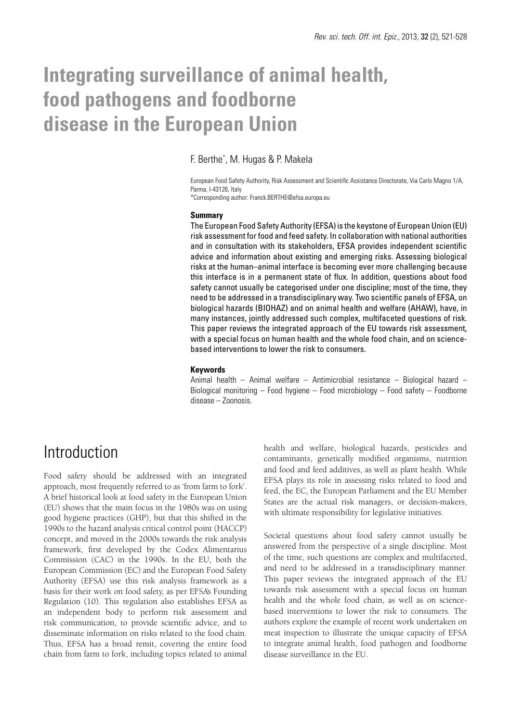# **Integrating surveillance of animal health, food pathogens and foodborne disease in the European Union**

F. Berthe\* , M. Hugas & P. Makela

European Food Safety Authority, Risk Assessment and Scientific Assistance Directorate, Via Carlo Magno 1/A, Parma, I-43126, Italy \*Corresponding author: Franck.BERTHE@efsa.europa.eu

#### **Summary**

The European Food Safety Authority (EFSA) is the keystone of European Union (EU) risk assessment for food and feed safety. In collaboration with national authorities and in consultation with its stakeholders, EFSA provides independent scientific advice and information about existing and emerging risks. Assessing biological risks at the human–animal interface is becoming ever more challenging because this interface is in a permanent state of flux. In addition, questions about food safety cannot usually be categorised under one discipline; most of the time, they need to be addressed in a transdisciplinary way. Two scientific panels of EFSA, on biological hazards (BIOHAZ) and on animal health and welfare (AHAW), have, in many instances, jointly addressed such complex, multifaceted questions of risk. This paper reviews the integrated approach of the EU towards risk assessment, with a special focus on human health and the whole food chain, and on sciencebased interventions to lower the risk to consumers.

#### **Keywords**

Animal health – Animal welfare – Antimicrobial resistance – Biological hazard – Biological monitoring – Food hygiene – Food microbiology – Food safety – Foodborne disease – Zoonosis.

### Introduction

Food safety should be addressed with an integrated approach, most frequently referred to as 'from farm to fork'. A brief historical look at food safety in the European Union (EU) shows that the main focus in the 1980s was on using good hygiene practices (GHP), but that this shifted in the 1990s to the hazard analysis critical control point (HACCP) concept, and moved in the 2000s towards the risk analysis framework, first developed by the Codex Alimentarius Commission (CAC) in the 1990s. In the EU, both the European Commission (EC) and the European Food Safety Authority (EFSA) use this risk analysis framework as a basis for their work on food safety, as per EFSA's Founding Regulation (10). This regulation also establishes EFSA as an independent body to perform risk assessment and risk communication, to provide scientific advice, and to disseminate information on risks related to the food chain. Thus, EFSA has a broad remit, covering the entire food chain from farm to fork, including topics related to animal

health and welfare, biological hazards, pesticides and contaminants, genetically modified organisms, nutrition and food and feed additives, as well as plant health. While EFSA plays its role in assessing risks related to food and feed, the EC, the European Parliament and the EU Member States are the actual risk managers, or decision-makers, with ultimate responsibility for legislative initiatives.

Societal questions about food safety cannot usually be answered from the perspective of a single discipline. Most of the time, such questions are complex and multifaceted, and need to be addressed in a transdisciplinary manner. This paper reviews the integrated approach of the EU towards risk assessment with a special focus on human health and the whole food chain, as well as on sciencebased interventions to lower the risk to consumers. The authors explore the example of recent work undertaken on meat inspection to illustrate the unique capacity of EFSA to integrate animal health, food pathogen and foodborne disease surveillance in the EU.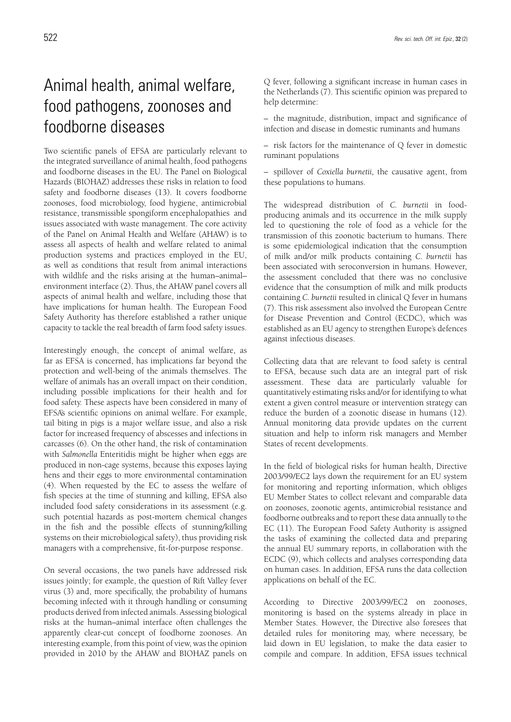# Animal health, animal welfare, food pathogens, zoonoses and foodborne diseases

Two scientific panels of EFSA are particularly relevant to the integrated surveillance of animal health, food pathogens and foodborne diseases in the EU. The Panel on Biological Hazards (BIOHAZ) addresses these risks in relation to food safety and foodborne diseases (13). It covers foodborne zoonoses, food microbiology, food hygiene, antimicrobial resistance, transmissible spongiform encephalopathies and issues associated with waste management. The core activity of the Panel on Animal Health and Welfare (AHAW) is to assess all aspects of health and welfare related to animal production systems and practices employed in the EU, as well as conditions that result from animal interactions with wildlife and the risks arising at the human–animal– environment interface (2). Thus, the AHAW panel covers all aspects of animal health and welfare, including those that have implications for human health. The European Food Safety Authority has therefore established a rather unique capacity to tackle the real breadth of farm food safety issues.

Interestingly enough, the concept of animal welfare, as far as EFSA is concerned, has implications far beyond the protection and well-being of the animals themselves. The welfare of animals has an overall impact on their condition, including possible implications for their health and for food safety. These aspects have been considered in many of EFSA's scientific opinions on animal welfare. For example, tail biting in pigs is a major welfare issue, and also a risk factor for increased frequency of abscesses and infections in carcasses (6). On the other hand, the risk of contamination with *Salmonella* Enteritidis might be higher when eggs are produced in non-cage systems, because this exposes laying hens and their eggs to more environmental contamination (4). When requested by the EC to assess the welfare of fish species at the time of stunning and killing, EFSA also included food safety considerations in its assessment (e.g. such potential hazards as post-mortem chemical changes in the fish and the possible effects of stunning/killing systems on their microbiological safety), thus providing risk managers with a comprehensive, fit-for-purpose response.

On several occasions, the two panels have addressed risk issues jointly; for example, the question of Rift Valley fever virus (3) and, more specifically, the probability of humans becoming infected with it through handling or consuming products derived from infected animals. Assessing biological risks at the human–animal interface often challenges the apparently clear-cut concept of foodborne zoonoses. An interesting example, from this point of view, was the opinion provided in 2010 by the AHAW and BIOHAZ panels on Q fever, following a significant increase in human cases in the Netherlands (7). This scientific opinion was prepared to help determine:

– the magnitude, distribution, impact and significance of infection and disease in domestic ruminants and humans

– risk factors for the maintenance of Q fever in domestic ruminant populations

– spillover of *Coxiella burnetii,* the causative agent, from these populations to humans.

The widespread distribution of *C. burnetii* in foodproducing animals and its occurrence in the milk supply led to questioning the role of food as a vehicle for the transmission of this zoonotic bacterium to humans. There is some epidemiological indication that the consumption of milk and/or milk products containing *C. burnetii* has been associated with seroconversion in humans. However, the assessment concluded that there was no conclusive evidence that the consumption of milk and milk products containing *C. burnetii* resulted in clinical Q fever in humans (7). This risk assessment also involved the European Centre for Disease Prevention and Control (ECDC), which was established as an EU agency to strengthen Europe's defences against infectious diseases.

Collecting data that are relevant to food safety is central to EFSA, because such data are an integral part of risk assessment. These data are particularly valuable for quantitatively estimating risks and/or for identifying to what extent a given control measure or intervention strategy can reduce the burden of a zoonotic disease in humans (12). Annual monitoring data provide updates on the current situation and help to inform risk managers and Member States of recent developments.

In the field of biological risks for human health, Directive 2003/99/EC2 lays down the requirement for an EU system for monitoring and reporting information, which obliges EU Member States to collect relevant and comparable data on zoonoses, zoonotic agents, antimicrobial resistance and foodborne outbreaks and to report these data annually to the EC (11). The European Food Safety Authority is assigned the tasks of examining the collected data and preparing the annual EU summary reports, in collaboration with the ECDC (9), which collects and analyses corresponding data on human cases. In addition, EFSA runs the data collection applications on behalf of the EC.

According to Directive 2003/99/EC2 on zoonoses, monitoring is based on the systems already in place in Member States. However, the Directive also foresees that detailed rules for monitoring may, where necessary, be laid down in EU legislation, to make the data easier to compile and compare. In addition, EFSA issues technical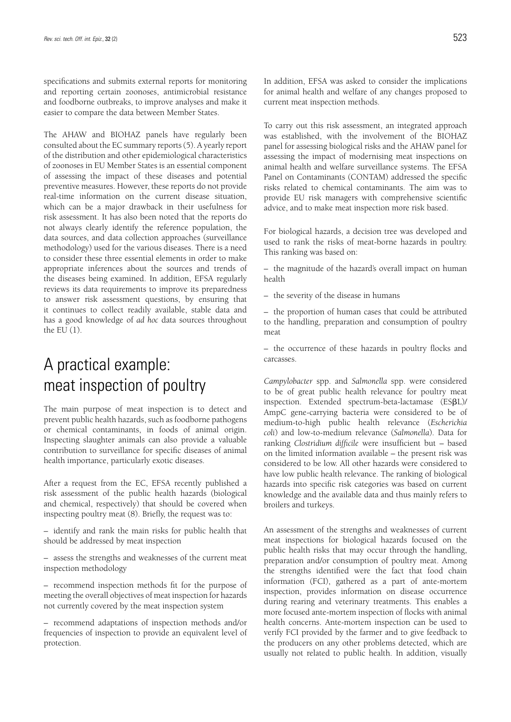specifications and submits external reports for monitoring and reporting certain zoonoses, antimicrobial resistance and foodborne outbreaks, to improve analyses and make it easier to compare the data between Member States.

The AHAW and BIOHAZ panels have regularly been consulted about the EC summary reports (5). A yearly report of the distribution and other epidemiological characteristics of zoonoses in EU Member States is an essential component of assessing the impact of these diseases and potential preventive measures. However, these reports do not provide real-time information on the current disease situation, which can be a major drawback in their usefulness for risk assessment. It has also been noted that the reports do not always clearly identify the reference population, the data sources, and data collection approaches (surveillance methodology) used for the various diseases. There is a need to consider these three essential elements in order to make appropriate inferences about the sources and trends of the diseases being examined. In addition, EFSA regularly reviews its data requirements to improve its preparedness to answer risk assessment questions, by ensuring that it continues to collect readily available, stable data and has a good knowledge of *ad hoc* data sources throughout the EU (1).

# A practical example: meat inspection of poultry

The main purpose of meat inspection is to detect and prevent public health hazards, such as foodborne pathogens or chemical contaminants, in foods of animal origin. Inspecting slaughter animals can also provide a valuable contribution to surveillance for specific diseases of animal health importance, particularly exotic diseases.

After a request from the EC, EFSA recently published a risk assessment of the public health hazards (biological and chemical, respectively) that should be covered when inspecting poultry meat (8). Briefly, the request was to:

– identify and rank the main risks for public health that should be addressed by meat inspection

– assess the strengths and weaknesses of the current meat inspection methodology

– recommend inspection methods fit for the purpose of meeting the overall objectives of meat inspection for hazards not currently covered by the meat inspection system

– recommend adaptations of inspection methods and/or frequencies of inspection to provide an equivalent level of protection.

In addition, EFSA was asked to consider the implications for animal health and welfare of any changes proposed to current meat inspection methods.

To carry out this risk assessment, an integrated approach was established, with the involvement of the BIOHAZ panel for assessing biological risks and the AHAW panel for assessing the impact of modernising meat inspections on animal health and welfare surveillance systems. The EFSA Panel on Contaminants (CONTAM) addressed the specific risks related to chemical contaminants. The aim was to provide EU risk managers with comprehensive scientific advice, and to make meat inspection more risk based.

For biological hazards, a decision tree was developed and used to rank the risks of meat-borne hazards in poultry. This ranking was based on:

– the magnitude of the hazard's overall impact on human health

– the severity of the disease in humans

– the proportion of human cases that could be attributed to the handling, preparation and consumption of poultry meat

– the occurrence of these hazards in poultry flocks and carcasses.

*Campylobacter* spp. and *Salmonella* spp. were considered to be of great public health relevance for poultry meat inspection. Extended spectrum-beta-lactamase (ESBL)/ AmpC gene-carrying bacteria were considered to be of medium-to-high public health relevance (*Escherichia coli*) and low-to-medium relevance (*Salmonella*). Data for ranking *Clostridium difficile* were insufficient but – based on the limited information available – the present risk was considered to be low. All other hazards were considered to have low public health relevance. The ranking of biological hazards into specific risk categories was based on current knowledge and the available data and thus mainly refers to broilers and turkeys.

An assessment of the strengths and weaknesses of current meat inspections for biological hazards focused on the public health risks that may occur through the handling, preparation and/or consumption of poultry meat. Among the strengths identified were the fact that food chain information (FCI), gathered as a part of ante-mortem inspection, provides information on disease occurrence during rearing and veterinary treatments. This enables a more focused ante-mortem inspection of flocks with animal health concerns. Ante-mortem inspection can be used to verify FCI provided by the farmer and to give feedback to the producers on any other problems detected, which are usually not related to public health. In addition, visually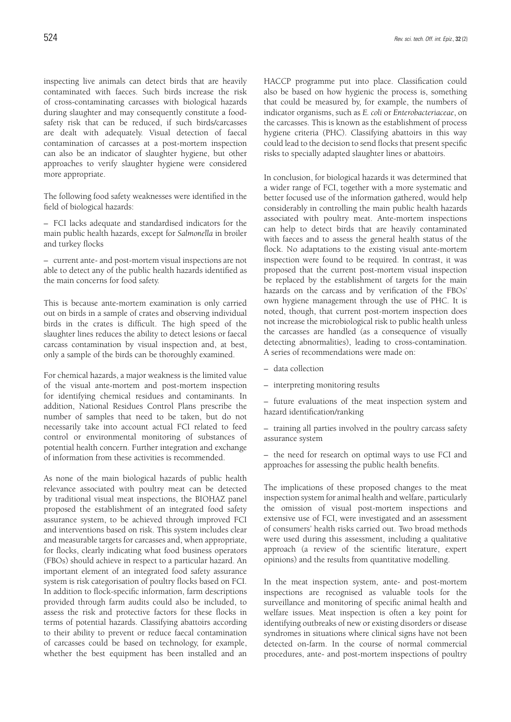inspecting live animals can detect birds that are heavily contaminated with faeces. Such birds increase the risk of cross-contaminating carcasses with biological hazards during slaughter and may consequently constitute a foodsafety risk that can be reduced, if such birds/carcasses are dealt with adequately. Visual detection of faecal contamination of carcasses at a post-mortem inspection can also be an indicator of slaughter hygiene, but other approaches to verify slaughter hygiene were considered more appropriate.

The following food safety weaknesses were identified in the field of biological hazards:

– FCI lacks adequate and standardised indicators for the main public health hazards, except for *Salmonella* in broiler and turkey flocks

– current ante*-* and post-mortem visual inspections are not able to detect any of the public health hazards identified as the main concerns for food safety.

This is because ante-mortem examination is only carried out on birds in a sample of crates and observing individual birds in the crates is difficult. The high speed of the slaughter lines reduces the ability to detect lesions or faecal carcass contamination by visual inspection and, at best, only a sample of the birds can be thoroughly examined.

For chemical hazards, a major weakness is the limited value of the visual ante-mortem and post-mortem inspection for identifying chemical residues and contaminants. In addition, National Residues Control Plans prescribe the number of samples that need to be taken, but do not necessarily take into account actual FCI related to feed control or environmental monitoring of substances of potential health concern. Further integration and exchange of information from these activities is recommended.

As none of the main biological hazards of public health relevance associated with poultry meat can be detected by traditional visual meat inspections, the BIOHAZ panel proposed the establishment of an integrated food safety assurance system, to be achieved through improved FCI and interventions based on risk. This system includes clear and measurable targets for carcasses and, when appropriate, for flocks, clearly indicating what food business operators (FBOs) should achieve in respect to a particular hazard. An important element of an integrated food safety assurance system is risk categorisation of poultry flocks based on FCI. In addition to flock-specific information, farm descriptions provided through farm audits could also be included, to assess the risk and protective factors for these flocks in terms of potential hazards. Classifying abattoirs according to their ability to prevent or reduce faecal contamination of carcasses could be based on technology, for example, whether the best equipment has been installed and an

HACCP programme put into place. Classification could also be based on how hygienic the process is, something that could be measured by, for example, the numbers of indicator organisms, such as *E. coli* or *Enterobacteriaceae*, on the carcasses. This is known as the establishment of process hygiene criteria (PHC). Classifying abattoirs in this way could lead to the decision to send flocks that present specific risks to specially adapted slaughter lines or abattoirs.

In conclusion, for biological hazards it was determined that a wider range of FCI, together with a more systematic and better focused use of the information gathered, would help considerably in controlling the main public health hazards associated with poultry meat. Ante-mortem inspections can help to detect birds that are heavily contaminated with faeces and to assess the general health status of the flock. No adaptations to the existing visual ante-mortem inspection were found to be required. In contrast, it was proposed that the current post-mortem visual inspection be replaced by the establishment of targets for the main hazards on the carcass and by verification of the FBOs' own hygiene management through the use of PHC. It is noted, though, that current post-mortem inspection does not increase the microbiological risk to public health unless the carcasses are handled (as a consequence of visually detecting abnormalities), leading to cross-contamination. A series of recommendations were made on:

- data collection
- interpreting monitoring results

– future evaluations of the meat inspection system and hazard identification/ranking

– training all parties involved in the poultry carcass safety assurance system

– the need for research on optimal ways to use FCI and approaches for assessing the public health benefits.

The implications of these proposed changes to the meat inspection system for animal health and welfare, particularly the omission of visual post-mortem inspections and extensive use of FCI, were investigated and an assessment of consumers' health risks carried out. Two broad methods were used during this assessment, including a qualitative approach (a review of the scientific literature, expert opinions) and the results from quantitative modelling.

In the meat inspection system, ante- and post-mortem inspections are recognised as valuable tools for the surveillance and monitoring of specific animal health and welfare issues. Meat inspection is often a key point for identifying outbreaks of new or existing disorders or disease syndromes in situations where clinical signs have not been detected on-farm. In the course of normal commercial procedures, ante- and post-mortem inspections of poultry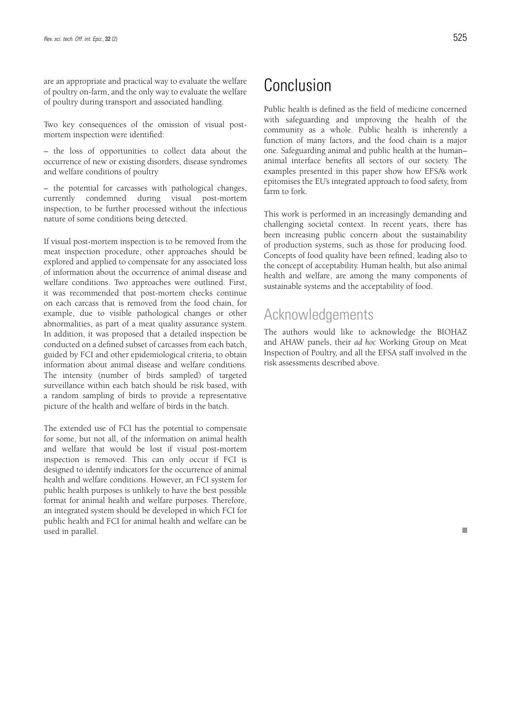are an appropriate and practical way to evaluate the welfare of poultry on-farm, and the only way to evaluate the welfare of poultry during transport and associated handling.

Two key consequences of the omission of visual postmortem inspection were identified:

– the loss of opportunities to collect data about the occurrence of new or existing disorders, disease syndromes and welfare conditions of poultry

– the potential for carcasses with pathological changes, currently condemned during visual post-mortem inspection, to be further processed without the infectious nature of some conditions being detected.

If visual post-mortem inspection is to be removed from the meat inspection procedure, other approaches should be explored and applied to compensate for any associated loss of information about the occurrence of animal disease and welfare conditions. Two approaches were outlined. First, it was recommended that post-mortem checks continue on each carcass that is removed from the food chain, for example, due to visible pathological changes or other abnormalities, as part of a meat quality assurance system. In addition, it was proposed that a detailed inspection be conducted on a defined subset of carcasses from each batch, guided by FCI and other epidemiological criteria, to obtain information about animal disease and welfare conditions. The intensity (number of birds sampled) of targeted surveillance within each batch should be risk based, with a random sampling of birds to provide a representative picture of the health and welfare of birds in the batch.

The extended use of FCI has the potential to compensate for some, but not all, of the information on animal health and welfare that would be lost if visual post-mortem inspection is removed. This can only occur if FCI is designed to identify indicators for the occurrence of animal health and welfare conditions. However, an FCI system for public health purposes is unlikely to have the best possible format for animal health and welfare purposes. Therefore, an integrated system should be developed in which FCI for public health and FCI for animal health and welfare can be used in parallel.

# Conclusion

Public health is defined as the field of medicine concerned with safeguarding and improving the health of the community as a whole. Public health is inherently a function of many factors, and the food chain is a major one. Safeguarding animal and public health at the human– animal interface benefits all sectors of our society. The examples presented in this paper show how EFSA's work epitomises the EU's integrated approach to food safety, from farm to fork.

This work is performed in an increasingly demanding and challenging societal context. In recent years, there has been increasing public concern about the sustainability of production systems, such as those for producing food. Concepts of food quality have been refined, leading also to the concept of acceptability. Human health, but also animal health and welfare, are among the many components of sustainable systems and the acceptability of food.

### Acknowledgements

The authors would like to acknowledge the BIOHAZ and AHAW panels, their *ad hoc* Working Group on Meat Inspection of Poultry, and all the EFSA staff involved in the risk assessments described above.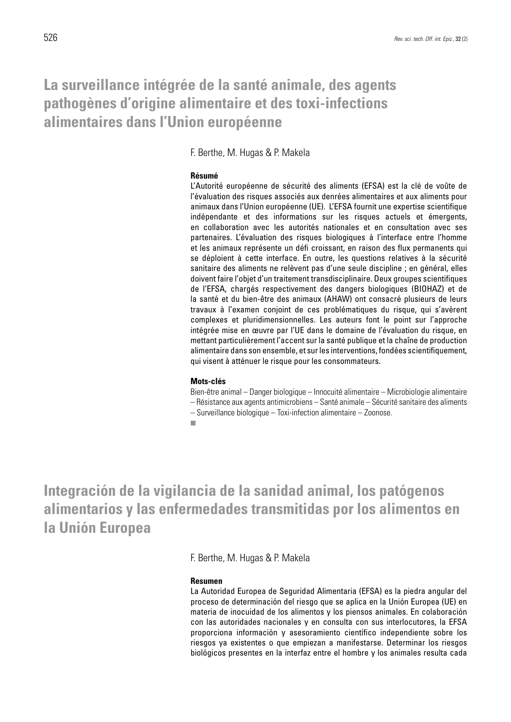### **La surveillance intégrée de la santé animale, des agents pathogènes d'origine alimentaire et des toxi-infections alimentaires dans l'Union européenne**

F. Berthe, M. Hugas & P. Makela

### **Résumé**

L'Autorité européenne de sécurité des aliments (EFSA) est la clé de voûte de l'évaluation des risques associés aux denrées alimentaires et aux aliments pour animaux dans l'Union européenne (UE). L'EFSA fournit une expertise scientifique indépendante et des informations sur les risques actuels et émergents, en collaboration avec les autorités nationales et en consultation avec ses partenaires. L'évaluation des risques biologiques à l'interface entre l'homme et les animaux représente un défi croissant, en raison des flux permanents qui se déploient à cette interface. En outre, les questions relatives à la sécurité sanitaire des aliments ne relèvent pas d'une seule discipline ; en général, elles doivent faire l'objet d'un traitement transdisciplinaire. Deux groupes scientifiques de l'EFSA, chargés respectivement des dangers biologiques (BIOHAZ) et de la santé et du bien-être des animaux (AHAW) ont consacré plusieurs de leurs travaux à l'examen conjoint de ces problématiques du risque, qui s'avèrent complexes et pluridimensionnelles. Les auteurs font le point sur l'approche intégrée mise en œuvre par l'UE dans le domaine de l'évaluation du risque, en mettant particulièrement l'accent sur la santé publique et la chaîne de production alimentaire dans son ensemble, et sur les interventions, fondées scientifiquement, qui visent à atténuer le risque pour les consommateurs.

#### **Mots-clés**

Bien-être animal – Danger biologique – Innocuité alimentaire – Microbiologie alimentaire – Résistance aux agents antimicrobiens – Santé animale – Sécurité sanitaire des aliments

– Surveillance biologique – Toxi-infection alimentaire – Zoonose.

 $\overline{\phantom{a}}$ 

**Integración de la vigilancia de la sanidad animal, los patógenos alimentarios y las enfermedades transmitidas por los alimentos en la Unión Europea**

F. Berthe, M. Hugas & P. Makela

### **Resumen**

La Autoridad Europea de Seguridad Alimentaria (EFSA) es la piedra angular del proceso de determinación del riesgo que se aplica en la Unión Europea (UE) en materia de inocuidad de los alimentos y los piensos animales. En colaboración con las autoridades nacionales y en consulta con sus interlocutores, la EFSA proporciona información y asesoramiento científico independiente sobre los riesgos ya existentes o que empiezan a manifestarse. Determinar los riesgos biológicos presentes en la interfaz entre el hombre y los animales resulta cada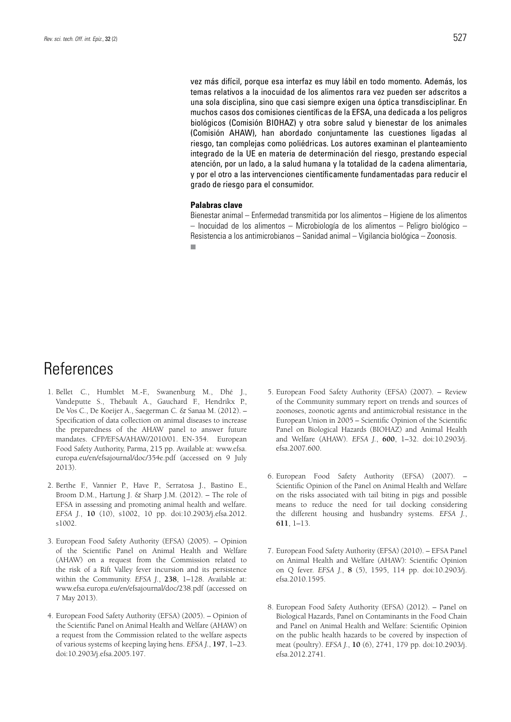vez más difícil, porque esa interfaz es muy lábil en todo momento. Además, los temas relativos a la inocuidad de los alimentos rara vez pueden ser adscritos a una sola disciplina, sino que casi siempre exigen una óptica transdisciplinar. En muchos casos dos comisiones científicas de la EFSA, una dedicada a los peligros biológicos (Comisión BIOHAZ) y otra sobre salud y bienestar de los animales (Comisión AHAW), han abordado conjuntamente las cuestiones ligadas al riesgo, tan complejas como poliédricas. Los autores examinan el planteamiento integrado de la UE en materia de determinación del riesgo, prestando especial atención, por un lado, a la salud humana y la totalidad de la cadena alimentaria, y por el otro a las intervenciones científicamente fundamentadas para reducir el grado de riesgo para el consumidor.

### **Palabras clave**

Bienestar animal – Enfermedad transmitida por los alimentos – Higiene de los alimentos – Inocuidad de los alimentos – Microbiología de los alimentos – Peligro biológico – Resistencia a los antimicrobianos – Sanidad animal – Vigilancia biológica – Zoonosis. m.

### References

- 1. Bellet C., Humblet M.-F., Swanenburg M., Dhé J., Vandeputte S., Thébault A., Gauchard F., Hendrikx P., De Vos C., De Koeijer A., Saegerman C. & Sanaa M. (2012). – Specification of data collection on animal diseases to increase the preparedness of the AHAW panel to answer future mandates. CFP/EFSA/AHAW/2010/01. EN-354. European Food Safety Authority, Parma, 215 pp. Available at: www.efsa. europa.eu/en/efsajournal/doc/354e.pdf (accessed on 9 July 2013).
- 2. Berthe F., Vannier P., Have P., Serratosa J., Bastino E., Broom D.M., Hartung J. & Sharp J.M. (2012). – The role of EFSA in assessing and promoting animal health and welfare. *EFSA J.*, **10** (10), s1002, 10 pp. doi:10.2903/j.efsa.2012. s1002.
- 3. European Food Safety Authority (EFSA) (2005). Opinion of the Scientific Panel on Animal Health and Welfare (AHAW) on a request from the Commission related to the risk of a Rift Valley fever incursion and its persistence within the Community. *EFSA J.*, **238**, 1–128. Available at: www.efsa.europa.eu/en/efsajournal/doc/238.pdf (accessed on 7 May 2013).
- 4. European Food Safety Authority (EFSA) (2005). Opinion of the Scientific Panel on Animal Health and Welfare (AHAW) on a request from the Commission related to the welfare aspects of various systems of keeping laying hens. *EFSA J.*, **197**, 1–23. doi:10.2903/j.efsa.2005.197.
- 5. European Food Safety Authority (EFSA) (2007). Review of the Community summary report on trends and sources of zoonoses, zoonotic agents and antimicrobial resistance in the European Union in 2005 – Scientific Opinion of the Scientific Panel on Biological Hazards (BIOHAZ) and Animal Health and Welfare (AHAW). *EFSA J.*, **600**, 1–32. doi:10.2903/j. efsa.2007.600.
- 6. European Food Safety Authority (EFSA) (2007). Scientific Opinion of the Panel on Animal Health and Welfare on the risks associated with tail biting in pigs and possible means to reduce the need for tail docking considering the different housing and husbandry systems. *EFSA J.*, **611**, 1–13.
- 7. European Food Safety Authority (EFSA) (2010). EFSA Panel on Animal Health and Welfare (AHAW): Scientific Opinion on Q fever. *EFSA J.*, **8** (5), 1595, 114 pp. doi:10.2903/j. efsa.2010.1595.
- 8. European Food Safety Authority (EFSA) (2012). Panel on Biological Hazards, Panel on Contaminants in the Food Chain and Panel on Animal Health and Welfare: Scientific Opinion on the public health hazards to be covered by inspection of meat (poultry). *EFSA J.*, **10** (6), 2741, 179 pp. doi:10.2903/j. efsa.2012.2741.